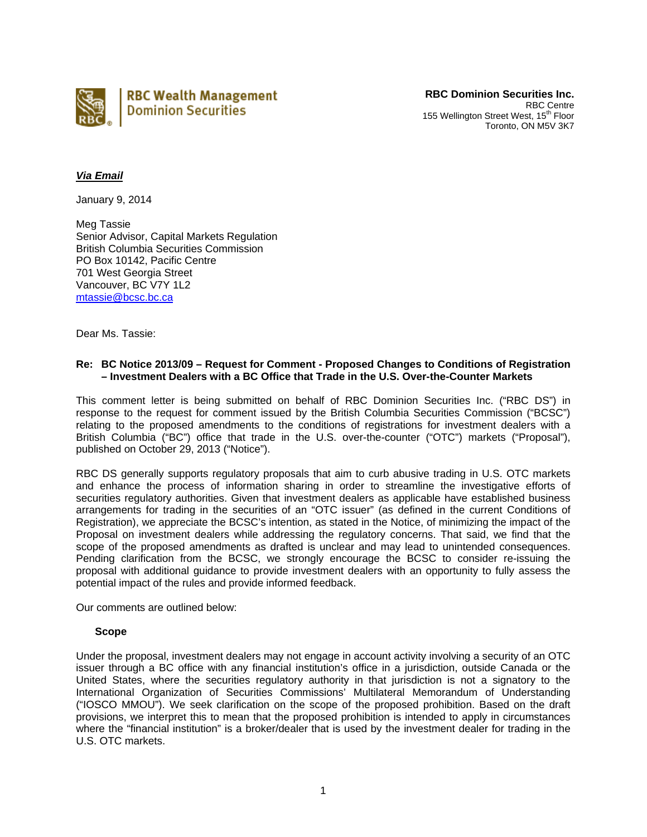

**RBC Dominion Securities Inc.** RBC Centre 155 Wellington Street West, 15<sup>th</sup> Floor Toronto, ON M5V 3K7

# *Via Email*

January 9, 2014

Meg Tassie Senior Advisor, Capital Markets Regulation British Columbia Securities Commission PO Box 10142, Pacific Centre 701 West Georgia Street Vancouver, BC V7Y 1L2 mtassie@bcsc.bc.ca

Dear Ms. Tassie:

## **Re: BC Notice 2013/09 – Request for Comment - Proposed Changes to Conditions of Registration – Investment Dealers with a BC Office that Trade in the U.S. Over-the-Counter Markets**

This comment letter is being submitted on behalf of RBC Dominion Securities Inc. ("RBC DS") in response to the request for comment issued by the British Columbia Securities Commission ("BCSC") relating to the proposed amendments to the conditions of registrations for investment dealers with a British Columbia ("BC") office that trade in the U.S. over-the-counter ("OTC") markets ("Proposal"), published on October 29, 2013 ("Notice").

RBC DS generally supports regulatory proposals that aim to curb abusive trading in U.S. OTC markets and enhance the process of information sharing in order to streamline the investigative efforts of securities regulatory authorities. Given that investment dealers as applicable have established business arrangements for trading in the securities of an "OTC issuer" (as defined in the current Conditions of Registration), we appreciate the BCSC's intention, as stated in the Notice, of minimizing the impact of the Proposal on investment dealers while addressing the regulatory concerns. That said, we find that the scope of the proposed amendments as drafted is unclear and may lead to unintended consequences. Pending clarification from the BCSC, we strongly encourage the BCSC to consider re-issuing the proposal with additional guidance to provide investment dealers with an opportunity to fully assess the potential impact of the rules and provide informed feedback.

Our comments are outlined below:

#### **Scope**

Under the proposal, investment dealers may not engage in account activity involving a security of an OTC issuer through a BC office with any financial institution's office in a jurisdiction, outside Canada or the United States, where the securities regulatory authority in that jurisdiction is not a signatory to the International Organization of Securities Commissions' Multilateral Memorandum of Understanding ("IOSCO MMOU"). We seek clarification on the scope of the proposed prohibition. Based on the draft provisions, we interpret this to mean that the proposed prohibition is intended to apply in circumstances where the "financial institution" is a broker/dealer that is used by the investment dealer for trading in the U.S. OTC markets.